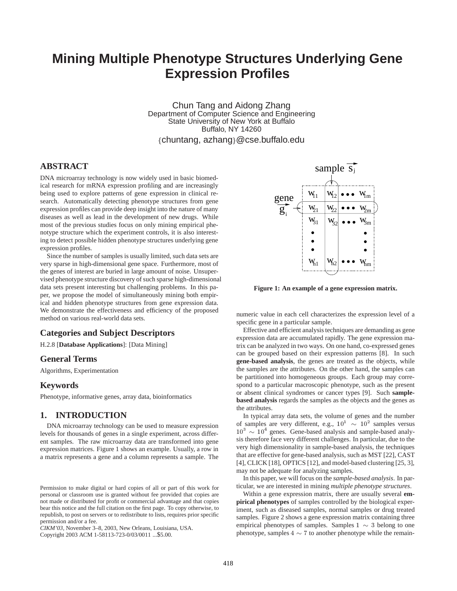# **Mining Multiple Phenotype Structures Underlying Gene Expression Profiles**

Chun Tang and Aidong Zhang Department of Computer Science and Engineering State University of New York at Buffalo Buffalo, NY 14260 <sup>f</sup>chuntang, azhangg@cse.buffalo.edu

# **ABSTRACT**

DNA microarray technology is now widely used in basic biomedical research for mRNA expression profiling and are increasingly being used to explore patterns of gene expression in clinical research. Automatically detecting phenotype structures from gene expression profiles can provide deep insight into the nature of many diseases as well as lead in the development of new drugs. While most of the previous studies focus on only mining empirical phenotype structure which the experiment controls, it is also interesting to detect possible hidden phenotype structures underlying gene expression profiles.

Since the number of samples is usually limited, such data sets are very sparse in high-dimensional gene space. Furthermore, most of the genes of interest are buried in large amount of noise. Unsupervised phenotype structure discovery of such sparse high-dimensional data sets present interesting but challenging problems. In this paper, we propose the model of simultaneously mining both empirical and hidden phenotype structures from gene expression data. We demonstrate the effectiveness and efficiency of the proposed method on various real-world data sets.

# **Categories and Subject Descriptors**

H.2.8 [**Database Applications**]: [Data Mining]

#### **General Terms**

Algorithms, Experimentation

# **Keywords**

Phenotype, informative genes, array data, bioinformatics

# **1. INTRODUCTION**

DNA microarray technology can be used to measure expression levels for thousands of genes in a single experiment, across different samples. The raw microarray data are transformed into gene expression matrices. Figure 1 shows an example. Usually, a row in a matrix represents a gene and a column represents a sample. The

*CIKM'03,* November 3–8, 2003, New Orleans, Louisiana, USA.

Copyright 2003 ACM 1-58113-723-0/03/0011 ...\$5.00.



**Figure 1: An example of a gene expression matrix.**

numeric value in each cell characterizes the expression level of a specific gene in a particular sample.

Effective and efficient analysis techniques are demanding as gene expression data are accumulated rapidly. The gene expression matrix can be analyzed in two ways. On one hand, co-expressed genes can be grouped based on their expression patterns [8]. In such **gene-based analysis**, the genes are treated as the objects, while the samples are the attributes. On the other hand, the samples can be partitioned into homogeneous groups. Each group may correspond to a particular macroscopic phenotype, such as the present or absent clinical syndromes or cancer types [9]. Such **samplebased analysis** regards the samples as the objects and the genes as the attributes.

In typical array data sets, the volume of genes and the number of samples are very different, e.g.,  $10<sup>1</sup> \sim 10<sup>2</sup>$  samples versus  $10^3 \sim 10^4$  genes. Gene-based analysis and sample-based analysis therefore face very different challenges. In particular, due to the very high dimensionality in sample-based analysis, the techniques that are effective for gene-based analysis, such as MST [22], CAST [4], CLICK [18], OPTICS [12], and model-based clustering [25, 3], may not be adequate for analyzing samples.

In this paper, we will focus on the *sample-based analysis*. In particular, we are interested in mining *multiple phenotype structures*.

Within a gene expression matrix, there are usually several **empirical phenotypes** of samples controlled by the biological experiment, such as diseased samples, normal samples or drug treated samples. Figure 2 shows a gene expression matrix containing three empirical phenotypes of samples. Samples  $1 \sim 3$  belong to one phenotype, samples  $4 \sim 7$  to another phenotype while the remain-

Permission to make digital or hard copies of all or part of this work for personal or classroom use is granted without fee provided that copies are not made or distributed for profit or commercial advantage and that copies bear this notice and the full citation on the first page. To copy otherwise, to republish, to post on servers or to redistribute to lists, requires prior specific permission and/or a fee.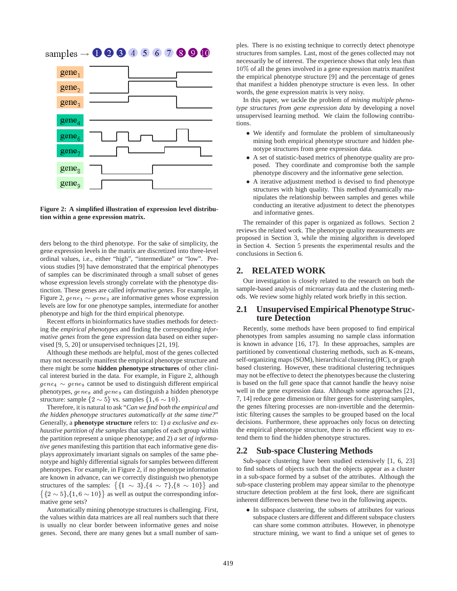# samples  $\rightarrow$  0 0 6 4 5 6 7 8 0 0



**Figure 2: A simplified illustration of expression level distribution within a gene expression matrix.**

ders belong to the third phenotype. For the sake of simplicity, the gene expression levels in the matrix are discretized into three-level ordinal values, i.e., either "high", "intermediate" or "low". Previous studies [9] have demonstrated that the empirical phenotypes of samples can be discriminated through a small subset of genes whose expression levels strongly correlate with the phenotype distinction. These genes are called *informative genes*. For example, in Figure 2, gene<sub>1</sub>  $\sim$  gene<sub>3</sub> are informative genes whose expression levels are low for one phenotype samples, intermediate for another phenotype and high for the third empirical phenotype.

Recent efforts in bioinformatics have studies methods for detecting the *empirical phenotypes* and finding the corresponding *informative genes* from the gene expression data based on either supervised [9, 5, 20] or unsupervised techniques [21, 19].

Although these methods are helpful, most of the genes collected may not necessarily manifest the empirical phenotype structure and there might be some **hidden phenotype structures** of other clinical interest buried in the data. For example, in Figure 2, although  $gene_4 \sim gene_9$  cannot be used to distinguish different empirical phenotypes,  $genes$  and  $gene_9$  can distinguish a hidden phenotype structure: sample  $\{2 \sim 5\}$  vs. samples  $\{1, 6 \sim 10\}$ .

Therefore, it is natural to ask "*Can we find both the empirical and the hidden phenotype structures automatically at the same time?*" Generally, a **phenotype structure** refers to: 1) *a exclusive and exhaustive partition of the samples* that samples of each group within the partition represent a unique phenotype; and 2) *a set of informative genes* manifesting this partition that each informative gene displays approximately invariant signals on samples of the same phenotype and highly differential signals for samples between different phenotypes. For example, in Figure 2, if no phenotype information are known in advance, can we correctly distinguish two phenotype structures of the samples:  $\{ \{1 \sim 3\}, \{4 \sim 7\}, \{8 \sim 10\} \}$  and sub-space clu  $\{\{2 \sim 5\},\{1,6 \sim 10\}\}\$ as well as output the corresponding informative gene sets?

Automatically mining phenotype structures is challenging. First, the values within data matrices are all real numbers such that there is usually no clear border between informative genes and noise genes. Second, there are many genes but a small number of samples. There is no existing technique to correctly detect phenotype structures from samples. Last, most of the genes collected may not necessarily be of interest. The experience shows that only less than 10% of all the genes involved in a gene expression matrix manifest the empirical phenotype structure [9] and the percentage of genes that manifest a hidden phenotype structure is even less. In other words, the gene expression matrix is very noisy.

In this paper, we tackle the problem of *mining multiple phenotype structures from gene expression data* by developing a novel unsupervised learning method. We claim the following contributions.

- We identify and formulate the problem of simultaneously mining both empirical phenotype structure and hidden phenotype structures from gene expression data.
- A set of statistic-based metrics of phenotype quality are proposed. They coordinate and compromise both the sample phenotype discovery and the informative gene selection.
- A iterative adjustment method is devised to find phenotype structures with high quality. This method dynamically manipulates the relationship between samples and genes while conducting an iterative adjustment to detect the phenotypes and informative genes.

The remainder of this paper is organized as follows. Section 2 reviews the related work. The phenotype quality measurements are proposed in Section 3, while the mining algorithm is developed in Section 4. Section 5 presents the experimental results and the conclusions in Section 6.

# **2. RELATED WORK**

Our investigation is closely related to the research on both the sample-based analysis of microarray data and the clustering methods. We review some highly related work briefly in this section.

# **2.1 Unsupervised Empirical Phenotype Structure Detection**

Recently, some methods have been proposed to find empirical phenotypes from samples assuming no sample class information is known in advance [16, 17]. In these approaches, samples are partitioned by conventional clustering methods, such as K-means, self-organizing maps (SOM), hierarchical clustering (HC), or graph based clustering. However, these traditional clustering techniques may not be effective to detect the phenotypes because the clustering is based on the full gene space that cannot handle the heavy noise well in the gene expression data. Although some approaches [21, 7, 14] reduce gene dimension or filter genes for clustering samples, the genes filtering processes are non-invertible and the deterministic filtering causes the samples to be grouped based on the local decisions. Furthermore, these approaches only focus on detecting the empirical phenotype structure, there is no efficient way to extend them to find the hidden phenotype structures.

#### **2.2 Sub-space Clustering Methods**

Sub-space clustering have been studied extensively [1, 6, 23] to find subsets of objects such that the objects appear as a cluster in a sub-space formed by a subset of the attributes. Although the sub-space clustering problem may appear similar to the phenotype structure detection problem at the first look, there are significant inherent differences between these two in the following aspects.

• In subspace clustering, the subsets of attributes for various subspace clusters are different and different subspace clusters can share some common attributes. However, in phenotype structure mining, we want to find a unique set of genes to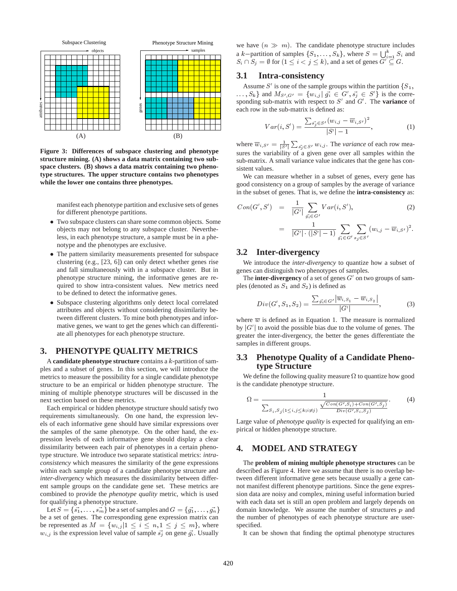

**Figure 3: Differences of subspace clustering and phenotype structure mining. (A) shows a data matrix containing two subspace clusters. (B) shows a data matrix containing two phenotype structures. The upper structure contains two phenotypes while the lower one contains three phenotypes.**

manifest each phenotype partition and exclusive sets of genes for different phenotype partitions.

- Two subspace clusters can share some common objects. Some objects may not belong to any subspace cluster. Nevertheless, in each phenotype structure, a sample must be in a phenotype and the phenotypes are exclusive.
- The pattern similarity measurements presented for subspace clustering (e.g., [23, 6]) can only detect whether genes rise and fall simultaneously with in a subspace cluster. But in phenotype structure mining, the informative genes are required to show intra-consistent values. New metrics need to be defined to detect the informative genes.
- Subspace clustering algorithms only detect local correlated attributes and objects without considering dissimilarity between different clusters. To mine both phenotypes and informative genes, we want to get the genes which can differentiate all phenotypes for each phenotype structure.

# **3. PHENOTYPE QUALITY METRICS**

A **candidate phenotype structure** contains a <sup>k</sup>-partition of samples and a subset of genes. In this section, we will introduce the metrics to measure the possibility for a single candidate phenotype structure to be an empirical or hidden phenotype structure. The mining of multiple phenotype structures will be discussed in the next section based on these metrics.

Each empirical or hidden phenotype structure should satisfy two requirements simultaneously. On one hand, the expression levels of each informative gene should have similar expressions over the samples of the same phenotype. On the other hand, the expression levels of each informative gene should display a clear dissimilarity between each pair of phenotypes in a certain phenotype structure. We introduce two separate statistical metrics: *intraconsistency* which measures the similarity of the gene expressions within each sample group of a candidate phenotype structure and *inter-divergency* which measures the dissimilarity between different sample groups on the candidate gene set. These metrics are combined to provide the *phenotype quality* metric, which is used for qualifying a phenotype structure.

Let  $S = \{\vec{s_1},\ldots,\vec{s_m}\}\$  be a set of samples and  $G = \{\vec{g_1},\ldots,\vec{g_n}\}\$ be a set of genes. The corresponding gene expression matrix can be represented as  $M = \{w_{i,j} | 1 \le i \le n, 1 \le j \le m\}$ , where  $w_{i,j}$  is the expression level value of sample  $\vec{s}_j$  on gene  $\vec{g}_i$ . Usually we have  $(n \gg m)$ . The candidate phenotype structure includes a k–partition of samples  $\{S_1,\ldots,S_k\}$ , where  $S = \bigcup_{i=1}^k S_i$  and  $S_i \cap S_j = \emptyset$  for  $(1 \leq i < j \leq k)$ , and a set of genes  $G' \subseteq G$ .

#### **3.1 Intra-consistency**

Assume S' is one of the sample groups within the partition  $\{S_1, \ldots, S_n\}$  $...,S_k$  and  $M_{S',G'} = \{w_{i,j} | \vec{g_i} \in G', \vec{s_j} \in S'\}$  is the corresponding sub-matrix with respect to  $S'$  and  $G'$ . The **variance** of each row in the sub-matrix is defined as:

$$
Var(i, S') = \frac{\sum_{s_j \in S'} (w_{i,j} - \overline{w}_{i,S'})^2}{|S'| - 1},
$$
 (1)

where  $\overline{w}_{i,S'} = \frac{1}{|S'|} \sum_{s_i^* \in S'} w_{i,j}$ . The *variance* of each row measures the variability of a given gene over all samples within the sub-matrix. A small variance value indicates that the gene has consistent values.

We can measure whether in a subset of genes, every gene has good consistency on a group of samples by the average of variance in the subset of genes. That is, we define the **intra-consistency** as:

$$
Con(G', S') = \frac{1}{|G'|} \sum_{g_i \in G'} Var(i, S'),
$$
\n
$$
= \frac{1}{|G'| \cdot (|S'| - 1)} \sum_{g_i \in G'} \sum_{s_j \in S'} (w_{i,j} - \overline{w}_{i,S'})^2.
$$
\n(2)

# **3.2 Inter-divergency**

We introduce the *inter-divergency* to quantize how a subset of genes can distinguish two phenotypes of samples.

The **inter-divergency** of a set of genes  $G'$  on two groups of samples (denoted as  $S_1$  and  $S_2$ ) is defined as

$$
Div(G', S_1, S_2) = \frac{\sum_{\vec{g_i} \in G'} |\overline{w}_{i, S_1} - \overline{w}_{i, S_2}|}{|G'|}, \tag{3}
$$

where  $\overline{w}$  is defined as in Equation 1. The measure is normalized by  $|G'|$  to avoid the possible bias due to the volume of genes. The greater the inter-divergency, the better the genes differentiate the samples in different groups.

# **3.3 Phenotype Quality of a Candidate Phenotype Structure**

We define the following quality measure  $\Omega$  to quantize how good is the candidate phenotype structure.

$$
\Omega = \frac{1}{\sum_{S_i, S_j(1 \le i, j \le k; i \ne j)} \frac{\sqrt{Con(G', S_i) + Con(G', S_j)}}{Div(G', S_i, S_j)}}.
$$
(4)

Large value of *phenotype quality* is expected for qualifying an empirical or hidden phenotype structure.

# **4. MODEL AND STRATEGY**

The **problem of mining multiple phenotype structures** can be described as Figure 4. Here we assume that there is no overlap between different informative gene sets because usually a gene cannot manifest different phenotype partitions. Since the gene expression data are noisy and complex, mining useful information buried with each data set is still an open problem and largely depends on domain knowledge. We assume the number of structures  $p$  and the number of phenotypes of each phenotype structure are userspecified.

It can be shown that finding the optimal phenotype structures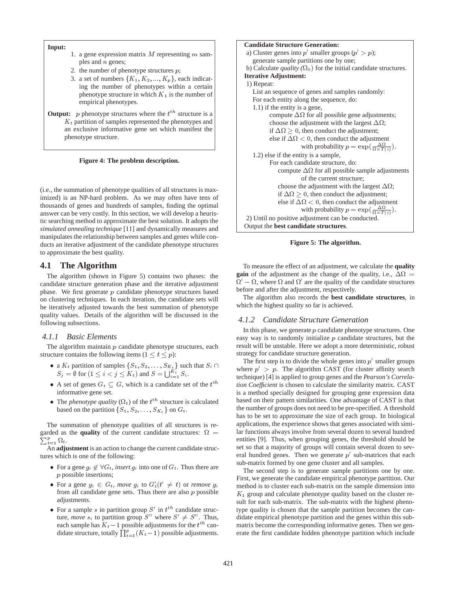#### **Input:**

- 1. a gene expression matrix  $M$  representing  $m$  samples and *n* genes;
- 2. the number of phenotype structures  $p$ ;
- 3. a set of numbers  $\{K_1, K_2, ..., K_p\}$ , each indicating the number of phenotypes within a certain phenotype structure in which  $K_1$  is the number of empirical phenotypes.
- **Output:** *p* phenotype structures where the  $t^{th}$  structure is a  $K_t$  partition of samples represented the phenotypes and an exclusive informative gene set which manifest the phenotype structure.

#### **Figure 4: The problem description.**

(i.e., the summation of phenotype qualities of all structures is maximized) is an NP-hard problem. As we may often have tens of thousands of genes and hundreds of samples, finding the optimal answer can be very costly. In this section, we will develop a heuristic searching method to approximate the best solution. It adopts the *simulated annealing technique* [11] and dynamically measures and manipulates the relationship between samples and genes while conducts an iterative adjustment of the candidate phenotype structures to approximate the best quality.

## **4.1 The Algorithm**

The algorithm (shown in Figure 5) contains two phases: the candidate structure generation phase and the iterative adjustment phase. We first generate  $p$  candidate phenotype structures based on clustering techniques. In each iteration, the candidate sets will be iteratively adjusted towards the best summation of phenotype quality values. Details of the algorithm will be discussed in the following subsections.

#### *4.1.1 Basic Elements*

The algorithm maintain  $p$  candidate phenotype structures, each structure contains the following items  $(1 \le t \le p)$ :

- a  $K_t$  partition of samples  $\{S_1, S_2, \ldots, S_{K_t}\}$  such that  $S_i \cap \mathbb{R}^m$  is such that  $S_i$  $S_j = \emptyset$  for  $(1 \leq i < j \leq K_t)$  and  $S = \bigcup_{i=1}^{K_t} S_i$ .
- A set of genes  $G_t \subseteq G$ , which is a candidate set of the  $t^{th}$  tion G informative gene set.
- The *phenotype quality*  $(\Omega_t)$  of the  $t^{th}$  structure is calculated based on the partition  $\{S_1, S_2, \ldots, S_{K_t}\}$  on  $G_t$ .

The summation of phenotype qualities of all structures is regarded as the **quality** of the current candidate structures:  $\Omega$  $\sum_{t=1}^p \Omega_t$ . .

An **adjustment** is an action to change the current candidate structures which is one of the following:

- For a gene  $g_i \notin \forall G_t$ , *insert*  $g_i$  into one of  $G_t$ . Thus there are p possible insertions;
- For a gene  $g_i \in G_t$ , *move*  $g_i$  to  $G'_t(t' \neq t)$  or *remove*  $g_i$  method from all candidate gene sets. Thus there are also  $p$  possible adjustments.
- For a sample s in partition group  $S'$  in  $t^{th}$  candidate structure, *move*  $s_i$  to partition group  $S''$  where  $S' \neq S''$ . Thus, each sample has  $K_t - 1$  possible adjustments for the  $t^{th}$  candidate structure, totally  $\prod_{t=1}^{p} (K_t - 1)$  possible adjustments.



**Figure 5: The algorithm.**

To measure the effect of an adjustment, we calculate the **quality gain** of the adjustment as the change of the quality, i.e.,  $\Delta \Omega$  $\Omega' - \Omega$ , where  $\Omega$  and  $\Omega'$  are the quality of the candidate structures before and after the adjustment, respectively.

The algorithm also records the **best candidate structures**, in which the highest quality so far is achieved.

#### *4.1.2 Candidate Structure Generation*

In this phase, we generate  $p$  candidate phenotype structures. One easy way is to randomly initialize  $p$  candidate structures, but the result will be unstable. Here we adopt a more deterministic, robust strategy for candidate structure generation.

 *tion Coefficient* is chosen to calculate the similarity matrix. CAST the contract of the contract of the contract of the contract of the contract of the contract of the contract of The first step is to divide the whole genes into  $p'$  smaller groups where  $p' > p$ . The algorithm CAST (for cluster affinity search technique) [4] is applied to group genes and the *Pearson's Correla*is a method specially designed for grouping gene expression data based on their pattern similarities. One advantage of CAST is that the number of groups does not need to be pre-specified. A threshold has to be set to approximate the size of each group. In biological applications, the experience shows that genes associated with similar functions always involve from several dozen to several hundred entities [9]. Thus, when grouping genes, the threshold should be set so that a majority of groups will contain several dozen to several hundred genes. Then we generate  $p'$  sub-matrices that each sub-matrix formed by one gene cluster and all samples.

 can-matrix become the corresponding informative genes. Then we gen-The second step is to generate sample partitions one by one. First, we generate the candidate empirical phenotype partition. Our method is to cluster each sub-matrix on the sample dimension into  $K_1$  group and calculate phenotype quality based on the cluster result for each sub-matrix. The sub-matrix with the highest phenotype quality is chosen that the sample partition becomes the candidate empirical phenotype partition and the genes within this suberate the first candidate hidden phenotype partition which include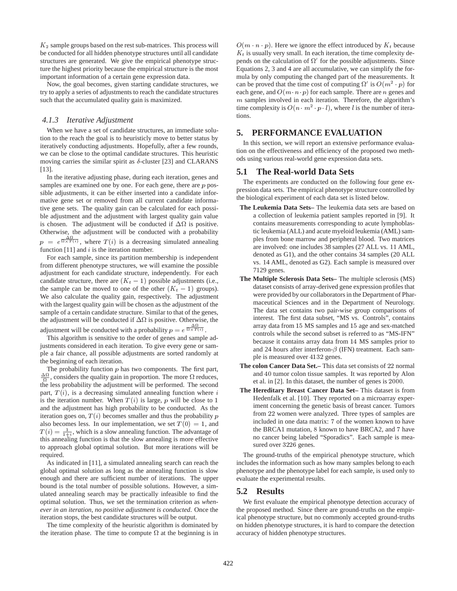$K<sub>2</sub>$  sample groups based on the rest sub-matrices. This process will be conducted for all hidden phenotype structures until all candidate structures are generated. We give the empirical phenotype structure the highest priority because the empirical structure is the most important information of a certain gene expression data.

Now, the goal becomes, given starting candidate structures, we try to apply a series of adjustments to reach the candidate structures such that the accumulated quality gain is maximized.

#### *4.1.3 Iterative Adjustment*

When we have a set of candidate structures, an immediate solution to the reach the goal is to heuristicly move to better status by iteratively conducting adjustments. Hopefully, after a few rounds, we can be close to the optimal candidate structures. This heuristic moving carries the similar spirit as  $\delta$ -cluster [23] and CLARANS [13].

In the iterative adjusting phase, during each iteration, genes and samples are examined one by one. For each gene, there are  $p$  possible adjustments, it can be either inserted into a candidate informative gene set or removed from all current candidate informative gene sets. The quality gain can be calculated for each possible adjustment and the adjustment with largest quality gain value is chosen. The adjustment will be conducted if  $\Delta\Omega$  is positive. cont Otherwise, the adjustment will be conducted with a probability  $p = e^{\sqrt{\alpha \times T(i)}}$ , where  $T(i)$  is a decreasing simulated annealing function  $[11]$  and i is the iteration number.

For each sample, since its partition membership is independent from different phenotype structures, we will examine the possible adjustment for each candidate structure, independently. For each candidate structure, there are  $(K_t - 1)$  possible adjustments (i.e., the sample can be moved to one of the other  $(K_t - 1)$  groups). We also calculate the quality gain, respectively. The adjustment with the largest quality gain will be chosen as the adjustment of the sample of a certain candidate structure. Similar to that of the genes, the adjustment will be conducted if  $\Delta\Omega$  is positive. Otherwise, the adjustment will be conducted with a probability  $p = e^{\frac{\overline{X} \times \overline{T}(i)}{\overline{X} \times \overline{T}(i)}}$ .

This algorithm is sensitive to the order of genes and sample adjustments considered in each iteration. To give every gene or sample a fair chance, all possible adjustments are sorted randomly at the beginning of each iteration.

The probability function  $p$  has two components. The first part,  $\frac{\Delta\Omega}{\Omega}$ , considers the quality gain in proportion. The more  $\Omega$  reduces, the less probability the adjustment will be performed. The second part,  $T(i)$ , is a decreasing simulated annealing function where i is the iteration number. When  $T(i)$  is large, p will be close to 1 and the adjustment has high probability to be conducted. As the iteration goes on,  $T(i)$  becomes smaller and thus the probability p also becomes less. In our implementation, we set  $T(0) = 1$ , and  $T(i) = \frac{1}{1+i}$ , which is a slow annealing function. The advantage of this annealing function is that the slow annealing is more effective to approach global optimal solution. But more iterations will be required.

As indicated in [11], a simulated annealing search can reach the global optimal solution as long as the annealing function is slow enough and there are sufficient number of iterations. The upper bound is the total number of possible solutions. However, a simulated annealing search may be practically infeasible to find the optimal solution. Thus, we set the termination criterion as *whenever in an iteration, no positive adjustment is conducted*. Once the iteration stops, the best candidate structures will be output.

The time complexity of the heuristic algorithm is dominated by the iteration phase. The time to compute  $\Omega$  at the beginning is in

 $O(m \cdot n \cdot p)$ . Here we ignore the effect introduced by  $K_t$  because  $K_t$  is usually very small. In each iteration, the time complexity depends on the calculation of  $\Omega'$  for the possible adjustments. Since Equations 2, 3 and 4 are all accumulative, we can simplify the formula by only computing the changed part of the measurements. It can be proved that the time cost of computing  $\Omega'$  is  $O(m^2 \cdot p)$  for each gene, and  $O(m \cdot n \cdot p)$  for each sample. There are n genes and  $m$  samples involved in each iteration. Therefore, the algorithm's time complexity is  $O(n \cdot m^2 \cdot p \cdot l)$ , where l is the number of iterations.

# **5. PERFORMANCE EVALUATION**

In this section, we will report an extensive performance evaluation on the effectiveness and efficiency of the proposed two methods using various real-world gene expression data sets.

#### **5.1 The Real-world Data Sets**

The experiments are conducted on the following four gene expression data sets. The empirical phenotype structure controlled by the biological experiment of each data set is listed below.

- **The Leukemia Data Sets–** The leukemia data sets are based on a collection of leukemia patient samples reported in [9]. It contains measurements corresponding to acute lymphoblastic leukemia (ALL) and acute myeloid leukemia (AML) samples from bone marrow and peripheral blood. Two matrices are involved: one includes 38 samples (27 ALL vs. 11 AML, denoted as G1), and the other contains 34 samples (20 ALL vs. 14 AML, denoted as G2). Each sample is measured over 7129 genes.
- array data from <sup>15</sup> MS samples and <sup>15</sup> age and sex-matched **The Multiple Sclerosis Data Sets–** The multiple sclerosis (MS) dataset consists of array-derived gene expression profiles that were provided by our collaborators in the Department of Pharmaceutical Sciences and in the Department of Neurology. The data set contains two pair-wise group comparisons of interest. The first data subset, "MS vs. Controls", contains controls while the second subset is referred to as "MS-IFN" because it contains array data from <sup>14</sup> MS samples prior to and 24 hours after interferon- $\beta$  (IFN) treatment. Each sample is measured over <sup>4132</sup> genes.
- **The colon Cancer Data Set.–** This data set consists of <sup>22</sup> normal and <sup>40</sup> tumor colon tissue samples. It was reported by Alon et al. in [2]. In this dataset, the number of genes is <sup>2000</sup>.
- **The Hereditary Breast Cancer Data Set–** This dataset is from Hedenfalk et al. [10]. They reported on a microarray experiment concerning the genetic basis of breast cancer. Tumors from <sup>22</sup> women were analyzed. Three types of samples are included in one data matrix: <sup>7</sup> of the women known to have the BRCA1 mutation, <sup>8</sup> known to have BRCA2, and <sup>7</sup> have no cancer being labeled "Sporadics". Each sample is measured over <sup>3226</sup> genes.

The ground-truths of the empirical phenotype structure, which includes the information such as how many samples belong to each phenotype and the phenotype label for each sample, is used only to evaluate the experimental results.

# **5.2 Results**

We first evaluate the empirical phenotype detection accuracy of the proposed method. Since there are ground-truths on the empirical phenotype structure, but no commonly accepted ground-truths on hidden phenotype structures, it is hard to compare the detection accuracy of hidden phenotype structures.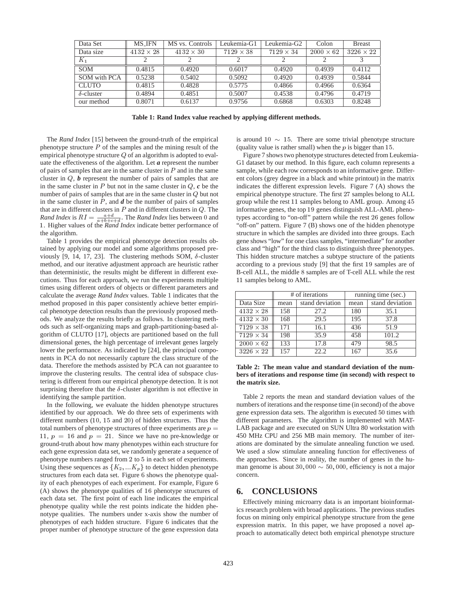| Data Set          | <b>MS_IFN</b>    | MS vs. Controls  | Leukemia-G1      | Leukemia-G2      | Colon            | <b>Breast</b>    |
|-------------------|------------------|------------------|------------------|------------------|------------------|------------------|
| Data size         | $1132 \times 28$ | $4132 \times 30$ | $7129 \times 38$ | $7129 \times 34$ | $2000 \times 62$ | $3226 \times 22$ |
| $K_1$             |                  |                  |                  |                  |                  |                  |
| <b>SOM</b>        | 0.4815           | 0.4920           | 0.6017           | 0.4920           | 0.4939           | 0.4112           |
| SOM with PCA      | 0.5238           | 0.5402           | 0.5092           | 0.4920           | 0.4939           | 0.5844           |
| <b>CLUTO</b>      | 0.4815           | 0.4828           | 0.5775           | 0.4866           | 0.4966           | 0.6364           |
| $\delta$ -cluster | 0.4894           | 0.4851           | 0.5007           | 0.4538           | 0.4796           | 0.4719           |
| our method        | 0.8071           | 0.6137           | 0.9756           | 0.6868           | 0.6303           | 0.8248           |

**Table 1: Rand Index value reached by applying different methods.**

The *Rand Index* [15] between the ground-truth of the empirical phenotype structure  $P$  of the samples and the mining result of the empirical phenotype structure  $Q$  of an algorithm is adopted to evaluate the effectiveness of the algorithm. Let *a* represent the number of pairs of samples that are in the same cluster in  $P$  and in the same cluster in <sup>Q</sup>, *b* represent the number of pairs of samples that are in the same cluster in  $P$  but not in the same cluster in  $Q$ ,  $c$  be the number of pairs of samples that are in the same cluster in <sup>Q</sup> but not in the same cluster in  $P$ , and  $d$  be the number of pairs of samples that are in different clusters in  $P$  and in different clusters in  $Q$ . The *Rand Index* is  $RI = \frac{a+d}{a+b+c+d}$ . The *Rand Index* lies between 0 and types acc <sup>1</sup>. Higher values of the *Rand Index* indicate better performance of the algorithm.

Table 1 provides the empirical phenotype detection results obtained by applying our model and some algorithms proposed previously [9, 14, 17, 23]. The clustering methods SOM,  $\delta$ -cluster method, and our iterative adjustment approach are heuristic rather than deterministic, the results might be different in different executions. Thus for each approach, we run the experiments multiple times using different orders of objects or different parameters and calculate the average *Rand Index* values. Table 1 indicates that the method proposed in this paper consistently achieve better empirical phenotype detection results than the previously proposed methods. We analyze the results briefly as follows. In clustering methods such as self-organizing maps and graph-partitioning-based algorithm of CLUTO [17], objects are partitioned based on the full dimensional genes, the high percentage of irrelevant genes largely lower the performance. As indicated by [24], the principal components in PCA do not necessarily capture the class structure of the data. Therefore the methods assisted by PCA can not guarantee to improve the clustering results. The central idea of subspace clustering is different from our empirical phenotype detection. It is not surprising therefore that the  $\delta$ -cluster algorithm is not effective in identifying the sample partition.

In the following, we evaluate the hidden phenotype structures identified by our approach. We do three sets of experiments with different numbers (10, <sup>15</sup> and <sup>20</sup>) of hidden structures. Thus the total numbers of phenotype structures of three experiments are  $p =$ 11,  $p = 16$  and  $p = 21$ . Since we have no pre-knowledge or ground-truth about how many phenotypes within each structure for each gene expression data set, we randomly generate a sequence of phenotype numbers ranged from <sup>2</sup> to <sup>5</sup> in each set of experiments. Using these sequences as  $\{K_2, \ldots K_p\}$  to detect hidden phenotype structures from each data set. Figure 6 shows the phenotype quality of each phenotypes of each experiment. For example, Figure 6 (A) shows the phenotype qualities of <sup>16</sup> phenotype structures of each data set. The first point of each line indicates the empirical phenotype quality while the rest points indicate the hidden phenotype qualities. The numbers under x-axis show the number of phenotypes of each hidden structure. Figure 6 indicates that the proper number of phenotype structure of the gene expression data is around 10  $\sim$  15. There are some trivial phenotype structure (quality value is rather small) when the  $p$  is bigger than 15.

Figure 7 shows two phenotype structures detected from Leukemia-G1 dataset by our method. In this figure, each column represents a sample, while each row corresponds to an informative gene. Different colors (grey degree in a black and white printout) in the matrix indicates the different expression levels. Figure 7 (A) shows the empirical phenotype structure. The first <sup>27</sup> samples belong to ALL group while the rest <sup>11</sup> samples belong to AML group. Among <sup>45</sup> informative genes, the top <sup>19</sup> genes distinguish ALL-AML phenotypes according to "on-off" pattern while the rest <sup>26</sup> genes follow "off-on" pattern. Figure 7 (B) shows one of the hidden phenotype structure in which the samples are divided into three groups. Each gene shows "low" for one class samples, "intermediate" for another class and "high" for the third class to distinguish three phenotypes. This hidden structure matches a subtype structure of the patients according to a previous study [9] that the first <sup>19</sup> samples are of B-cell ALL, the middle <sup>8</sup> samples are of T-cell ALL while the rest <sup>11</sup> samples belong to AML.

|                  |      | # of iterations | running time (sec.) |                 |  |
|------------------|------|-----------------|---------------------|-----------------|--|
| Data Size        | mean | stand deviation | mean                | stand deviation |  |
| $4132 \times 28$ | 158  | 27.2            | 180                 | 35.1            |  |
| $4132 \times 30$ | 168  | 29.5            | 195                 | 37.8            |  |
| $7129 \times 38$ | 171  | 16.1            | 436                 | 51.9            |  |
| $7129 \times 34$ | 198  | 35.9            | 458                 | 101.2           |  |
| $2000 \times 62$ | 133  | 17.8            | 479                 | 98.5            |  |
| $3226 \times 22$ | 157  | 22.2            | 167                 | 35.6            |  |

**Table 2: The mean value and standard deviation of the numbers of iterations and response time (in second) with respect to the matrix size.**

Table 2 reports the mean and standard deviation values of the numbers of iterations and the response time (in second) of the above gene expression data sets. The algorithm is executed <sup>50</sup> times with different parameters. The algorithm is implemented with MAT-LAB package and are executed on SUN Ultra 80 workstation with 450 MHz CPU and 256 MB main memory. The number of iterations are dominated by the simulate annealing function we used. We used a slow stimulate annealing function for effectiveness of the approaches. Since in reality, the number of genes in the human genome is about 30,000  $\sim$  50,000, efficiency is not a major concern.

#### **6. CONCLUSIONS**

Effectively mining microarry data is an important bioinformatics research problem with broad applications. The previous studies focus on mining only empirical phenotype structure from the gene expression matrix. In this paper, we have proposed a novel approach to automatically detect both empirical phenotype structure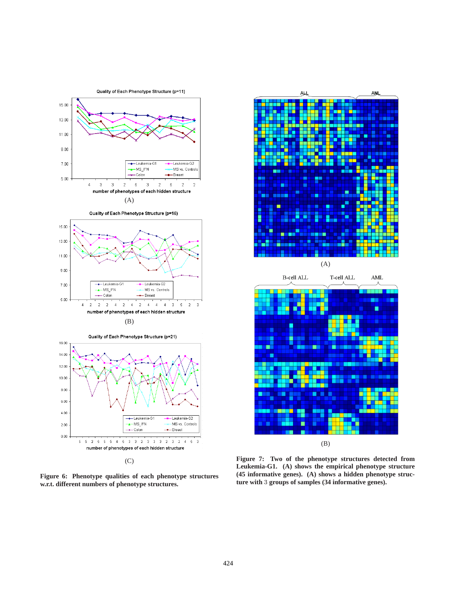

**Figure 6: Phenotype qualities of each phenotype structures w.r.t. different numbers of phenotype structures.**



**Figure 7: Two of the phenotype structures detected from Leukemia-G1. (A) shows the empirical phenotype structure (45 informative genes). (A) shows a hidden phenotype structure with** <sup>3</sup> **groups of samples (34 informative genes).**